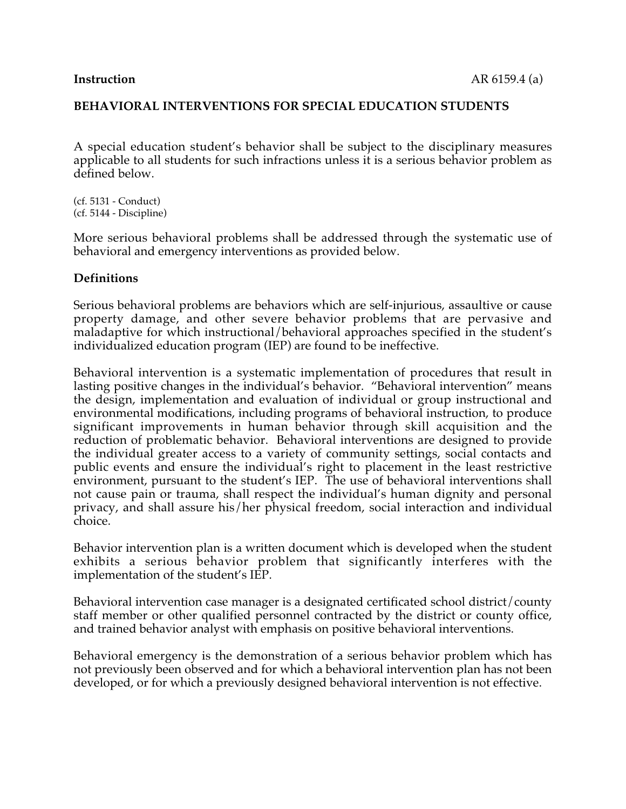A special education student's behavior shall be subject to the disciplinary measures applicable to all students for such infractions unless it is a serious behavior problem as defined below.

(cf. 5131 - Conduct) (cf. 5144 - Discipline)

More serious behavioral problems shall be addressed through the systematic use of behavioral and emergency interventions as provided below.

#### **Definitions**

Serious behavioral problems are behaviors which are self-injurious, assaultive or cause property damage, and other severe behavior problems that are pervasive and maladaptive for which instructional/behavioral approaches specified in the student's individualized education program (IEP) are found to be ineffective.

Behavioral intervention is a systematic implementation of procedures that result in lasting positive changes in the individual's behavior. "Behavioral intervention" means the design, implementation and evaluation of individual or group instructional and environmental modifications, including programs of behavioral instruction, to produce significant improvements in human behavior through skill acquisition and the reduction of problematic behavior. Behavioral interventions are designed to provide the individual greater access to a variety of community settings, social contacts and public events and ensure the individual's right to placement in the least restrictive environment, pursuant to the student's IEP. The use of behavioral interventions shall not cause pain or trauma, shall respect the individual's human dignity and personal privacy, and shall assure his/her physical freedom, social interaction and individual choice.

Behavior intervention plan is a written document which is developed when the student exhibits a serious behavior problem that significantly interferes with the implementation of the student's IEP.

Behavioral intervention case manager is a designated certificated school district/county staff member or other qualified personnel contracted by the district or county office, and trained behavior analyst with emphasis on positive behavioral interventions.

Behavioral emergency is the demonstration of a serious behavior problem which has not previously been observed and for which a behavioral intervention plan has not been developed, or for which a previously designed behavioral intervention is not effective.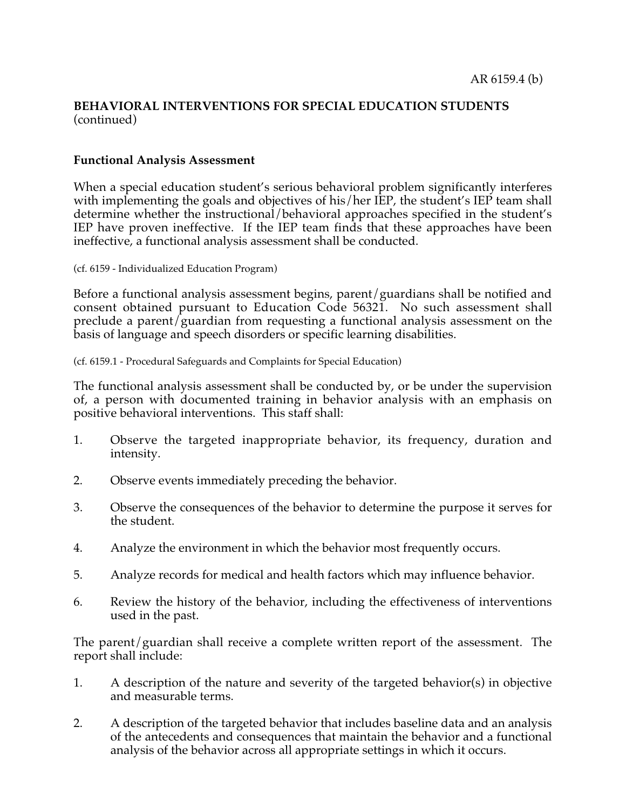#### **Functional Analysis Assessment**

When a special education student's serious behavioral problem significantly interferes with implementing the goals and objectives of his/her IEP, the student's IEP team shall determine whether the instructional/behavioral approaches specified in the student's IEP have proven ineffective. If the IEP team finds that these approaches have been ineffective, a functional analysis assessment shall be conducted.

(cf. 6159 - Individualized Education Program)

Before a functional analysis assessment begins, parent/guardians shall be notified and consent obtained pursuant to Education Code 56321. No such assessment shall preclude a parent/guardian from requesting a functional analysis assessment on the basis of language and speech disorders or specific learning disabilities.

(cf. 6159.1 - Procedural Safeguards and Complaints for Special Education)

The functional analysis assessment shall be conducted by, or be under the supervision of, a person with documented training in behavior analysis with an emphasis on positive behavioral interventions. This staff shall:

- 1. Observe the targeted inappropriate behavior, its frequency, duration and intensity.
- 2. Observe events immediately preceding the behavior.
- 3. Observe the consequences of the behavior to determine the purpose it serves for the student.
- 4. Analyze the environment in which the behavior most frequently occurs.
- 5. Analyze records for medical and health factors which may influence behavior.
- 6. Review the history of the behavior, including the effectiveness of interventions used in the past.

The parent/guardian shall receive a complete written report of the assessment. The report shall include:

- 1. A description of the nature and severity of the targeted behavior(s) in objective and measurable terms.
- 2. A description of the targeted behavior that includes baseline data and an analysis of the antecedents and consequences that maintain the behavior and a functional analysis of the behavior across all appropriate settings in which it occurs.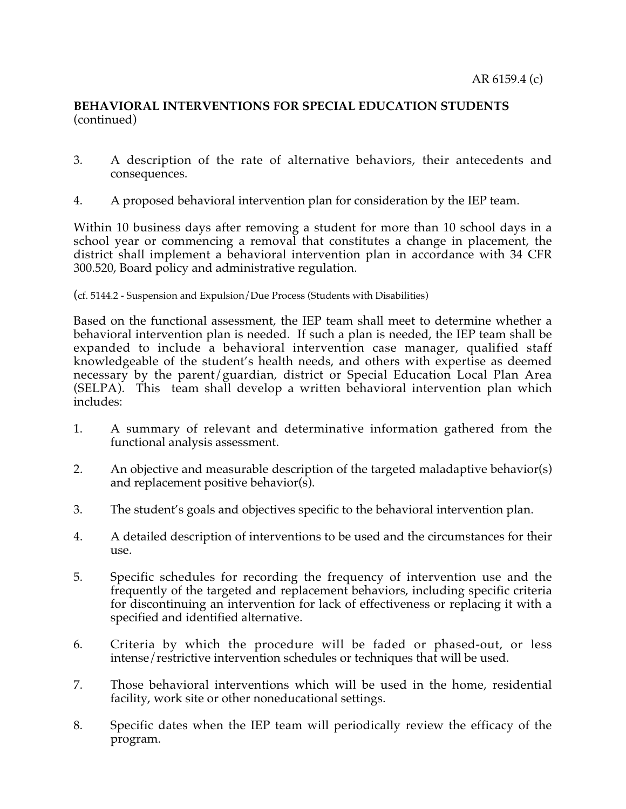- 3. A description of the rate of alternative behaviors, their antecedents and consequences.
- 4. A proposed behavioral intervention plan for consideration by the IEP team.

Within 10 business days after removing a student for more than 10 school days in a school year or commencing a removal that constitutes a change in placement, the district shall implement a behavioral intervention plan in accordance with 34 CFR 300.520, Board policy and administrative regulation.

#### (cf. 5144.2 - Suspension and Expulsion/Due Process (Students with Disabilities)

Based on the functional assessment, the IEP team shall meet to determine whether a behavioral intervention plan is needed. If such a plan is needed, the IEP team shall be expanded to include a behavioral intervention case manager, qualified staff knowledgeable of the student's health needs, and others with expertise as deemed necessary by the parent/guardian, district or Special Education Local Plan Area (SELPA). This team shall develop a written behavioral intervention plan which includes:

- 1. A summary of relevant and determinative information gathered from the functional analysis assessment.
- 2. An objective and measurable description of the targeted maladaptive behavior(s) and replacement positive behavior( $\overline{s}$ ).
- 3. The student's goals and objectives specific to the behavioral intervention plan.
- 4. A detailed description of interventions to be used and the circumstances for their use.
- 5. Specific schedules for recording the frequency of intervention use and the frequently of the targeted and replacement behaviors, including specific criteria for discontinuing an intervention for lack of effectiveness or replacing it with a specified and identified alternative.
- 6. Criteria by which the procedure will be faded or phased-out, or less intense/restrictive intervention schedules or techniques that will be used.
- 7. Those behavioral interventions which will be used in the home, residential facility, work site or other noneducational settings.
- 8. Specific dates when the IEP team will periodically review the efficacy of the program.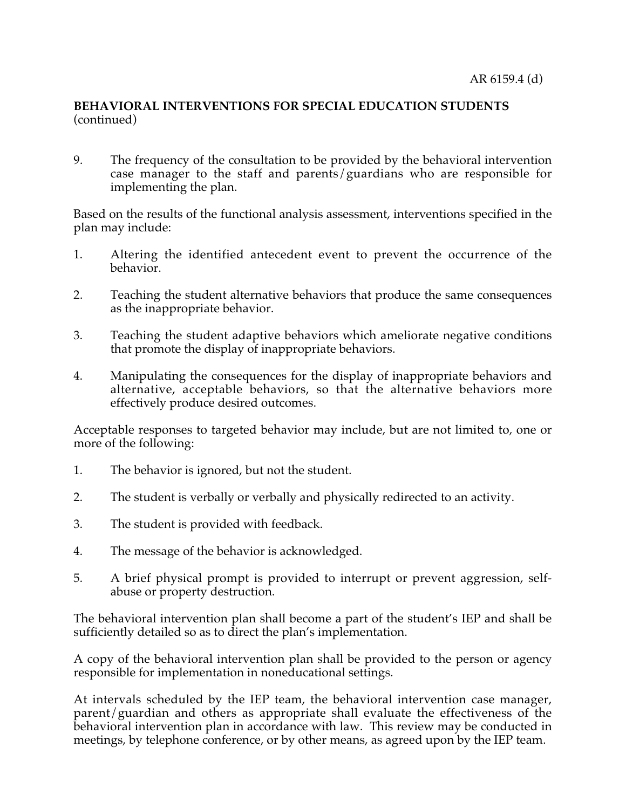9. The frequency of the consultation to be provided by the behavioral intervention case manager to the staff and parents/guardians who are responsible for implementing the plan.

Based on the results of the functional analysis assessment, interventions specified in the plan may include:

- 1. Altering the identified antecedent event to prevent the occurrence of the behavior.
- 2. Teaching the student alternative behaviors that produce the same consequences as the inappropriate behavior.
- 3. Teaching the student adaptive behaviors which ameliorate negative conditions that promote the display of inappropriate behaviors.
- 4. Manipulating the consequences for the display of inappropriate behaviors and alternative, acceptable behaviors, so that the alternative behaviors more effectively produce desired outcomes.

Acceptable responses to targeted behavior may include, but are not limited to, one or more of the following:

- 1. The behavior is ignored, but not the student.
- 2. The student is verbally or verbally and physically redirected to an activity.
- 3. The student is provided with feedback.
- 4. The message of the behavior is acknowledged.
- 5. A brief physical prompt is provided to interrupt or prevent aggression, selfabuse or property destruction.

The behavioral intervention plan shall become a part of the student's IEP and shall be sufficiently detailed so as to direct the plan's implementation.

A copy of the behavioral intervention plan shall be provided to the person or agency responsible for implementation in noneducational settings.

At intervals scheduled by the IEP team, the behavioral intervention case manager, parent/guardian and others as appropriate shall evaluate the effectiveness of the behavioral intervention plan in accordance with law. This review may be conducted in meetings, by telephone conference, or by other means, as agreed upon by the IEP team.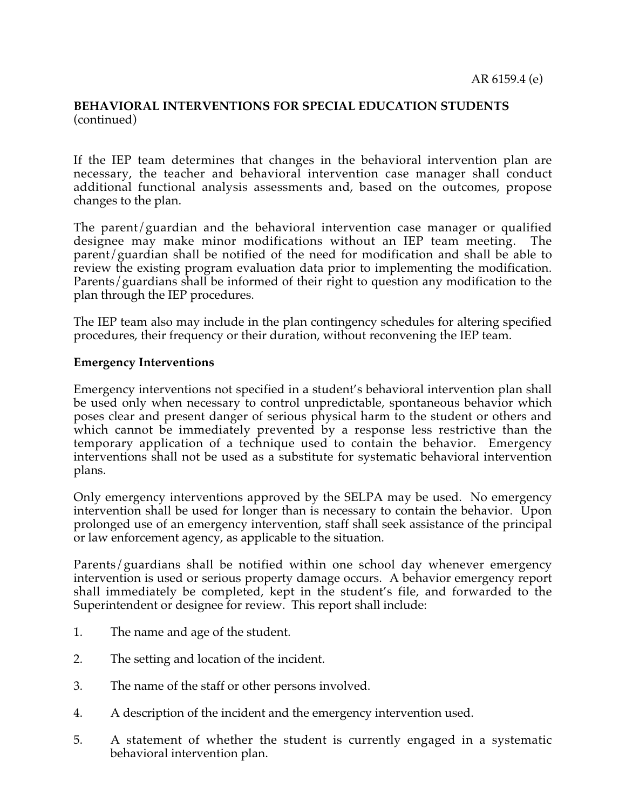If the IEP team determines that changes in the behavioral intervention plan are necessary, the teacher and behavioral intervention case manager shall conduct additional functional analysis assessments and, based on the outcomes, propose changes to the plan.

The parent/guardian and the behavioral intervention case manager or qualified designee may make minor modifications without an IEP team meeting. The parent/guardian shall be notified of the need for modification and shall be able to review the existing program evaluation data prior to implementing the modification. Parents/guardians shall be informed of their right to question any modification to the plan through the IEP procedures.

The IEP team also may include in the plan contingency schedules for altering specified procedures, their frequency or their duration, without reconvening the IEP team.

#### **Emergency Interventions**

Emergency interventions not specified in a student's behavioral intervention plan shall be used only when necessary to control unpredictable, spontaneous behavior which poses clear and present danger of serious physical harm to the student or others and which cannot be immediately prevented by a response less restrictive than the temporary application of a technique used to contain the behavior. Emergency interventions shall not be used as a substitute for systematic behavioral intervention plans.

Only emergency interventions approved by the SELPA may be used. No emergency intervention shall be used for longer than is necessary to contain the behavior. Upon prolonged use of an emergency intervention, staff shall seek assistance of the principal or law enforcement agency, as applicable to the situation.

Parents/guardians shall be notified within one school day whenever emergency intervention is used or serious property damage occurs. A behavior emergency report shall immediately be completed, kept in the student's file, and forwarded to the Superintendent or designee for review. This report shall include:

- 1. The name and age of the student.
- 2. The setting and location of the incident.
- 3. The name of the staff or other persons involved.
- 4. A description of the incident and the emergency intervention used.
- 5. A statement of whether the student is currently engaged in a systematic behavioral intervention plan.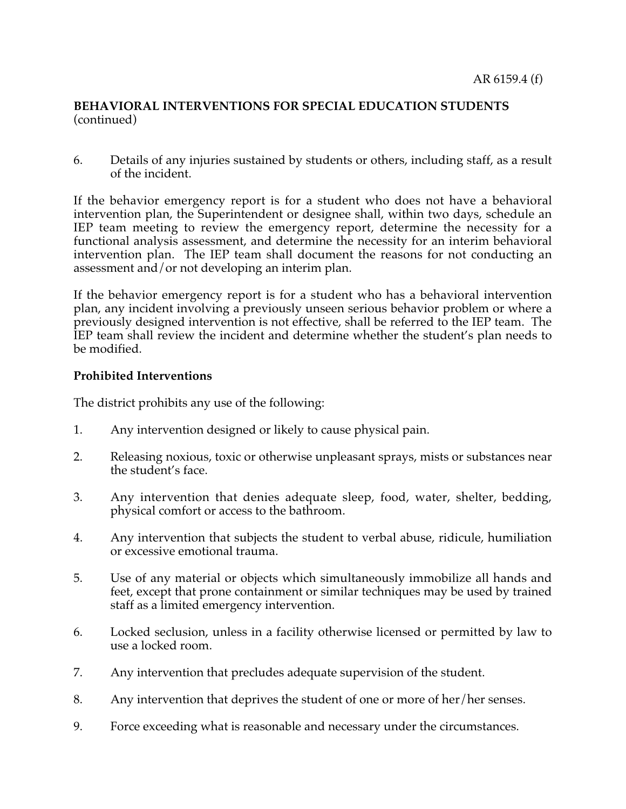6. Details of any injuries sustained by students or others, including staff, as a result of the incident.

If the behavior emergency report is for a student who does not have a behavioral intervention plan, the Superintendent or designee shall, within two days, schedule an IEP team meeting to review the emergency report, determine the necessity for a functional analysis assessment, and determine the necessity for an interim behavioral intervention plan. The IEP team shall document the reasons for not conducting an assessment and/or not developing an interim plan.

If the behavior emergency report is for a student who has a behavioral intervention plan, any incident involving a previously unseen serious behavior problem or where a previously designed intervention is not effective, shall be referred to the IEP team. The IEP team shall review the incident and determine whether the student's plan needs to be modified.

# **Prohibited Interventions**

The district prohibits any use of the following:

- 1. Any intervention designed or likely to cause physical pain.
- 2. Releasing noxious, toxic or otherwise unpleasant sprays, mists or substances near the student's face.
- 3. Any intervention that denies adequate sleep, food, water, shelter, bedding, physical comfort or access to the bathroom.
- 4. Any intervention that subjects the student to verbal abuse, ridicule, humiliation or excessive emotional trauma.
- 5. Use of any material or objects which simultaneously immobilize all hands and feet, except that prone containment or similar techniques may be used by trained staff as a limited emergency intervention.
- 6. Locked seclusion, unless in a facility otherwise licensed or permitted by law to use a locked room.
- 7. Any intervention that precludes adequate supervision of the student.
- 8. Any intervention that deprives the student of one or more of her/her senses.
- 9. Force exceeding what is reasonable and necessary under the circumstances.